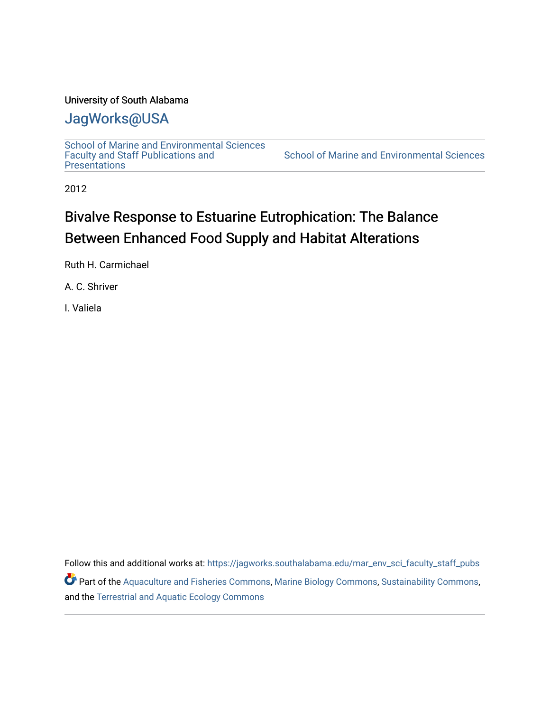## University of South Alabama

## [JagWorks@USA](https://jagworks.southalabama.edu/)

[School of Marine and Environmental Sciences](https://jagworks.southalabama.edu/mar_env_sci_faculty_staff_pubs)  [Faculty and Staff Publications and](https://jagworks.southalabama.edu/mar_env_sci_faculty_staff_pubs)  **Presentations** 

[School of Marine and Environmental Sciences](https://jagworks.southalabama.edu/mar_env_sci) 

2012

# Bivalve Response to Estuarine Eutrophication: The Balance Between Enhanced Food Supply and Habitat Alterations

Ruth H. Carmichael

A. C. Shriver

I. Valiela

Follow this and additional works at: [https://jagworks.southalabama.edu/mar\\_env\\_sci\\_faculty\\_staff\\_pubs](https://jagworks.southalabama.edu/mar_env_sci_faculty_staff_pubs?utm_source=jagworks.southalabama.edu%2Fmar_env_sci_faculty_staff_pubs%2F23&utm_medium=PDF&utm_campaign=PDFCoverPages) Part of the [Aquaculture and Fisheries Commons](https://network.bepress.com/hgg/discipline/78?utm_source=jagworks.southalabama.edu%2Fmar_env_sci_faculty_staff_pubs%2F23&utm_medium=PDF&utm_campaign=PDFCoverPages), [Marine Biology Commons](https://network.bepress.com/hgg/discipline/1126?utm_source=jagworks.southalabama.edu%2Fmar_env_sci_faculty_staff_pubs%2F23&utm_medium=PDF&utm_campaign=PDFCoverPages), [Sustainability Commons](https://network.bepress.com/hgg/discipline/1031?utm_source=jagworks.southalabama.edu%2Fmar_env_sci_faculty_staff_pubs%2F23&utm_medium=PDF&utm_campaign=PDFCoverPages), and the [Terrestrial and Aquatic Ecology Commons](https://network.bepress.com/hgg/discipline/20?utm_source=jagworks.southalabama.edu%2Fmar_env_sci_faculty_staff_pubs%2F23&utm_medium=PDF&utm_campaign=PDFCoverPages)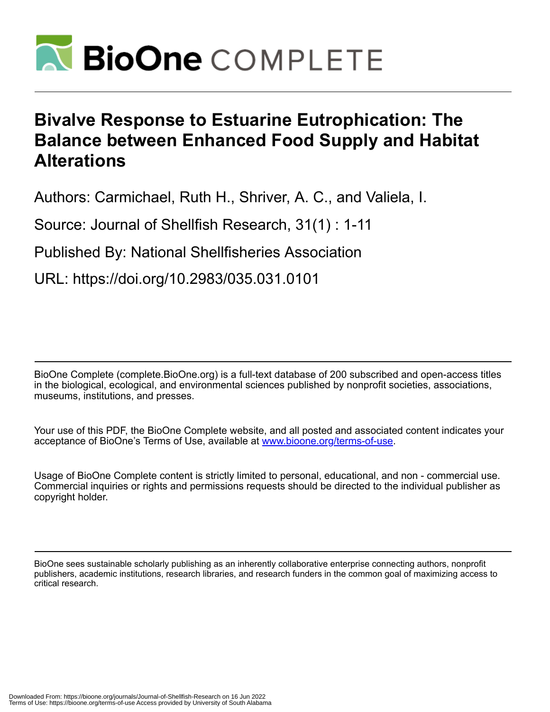

# **Bivalve Response to Estuarine Eutrophication: The Balance between Enhanced Food Supply and Habitat Alterations**

Authors: Carmichael, Ruth H., Shriver, A. C., and Valiela, I.

Source: Journal of Shellfish Research, 31(1) : 1-11

Published By: National Shellfisheries Association

URL: https://doi.org/10.2983/035.031.0101

BioOne Complete (complete.BioOne.org) is a full-text database of 200 subscribed and open-access titles in the biological, ecological, and environmental sciences published by nonprofit societies, associations, museums, institutions, and presses.

Your use of this PDF, the BioOne Complete website, and all posted and associated content indicates your acceptance of BioOne's Terms of Use, available at www.bioone.org/terms-of-use.

Usage of BioOne Complete content is strictly limited to personal, educational, and non - commercial use. Commercial inquiries or rights and permissions requests should be directed to the individual publisher as copyright holder.

BioOne sees sustainable scholarly publishing as an inherently collaborative enterprise connecting authors, nonprofit publishers, academic institutions, research libraries, and research funders in the common goal of maximizing access to critical research.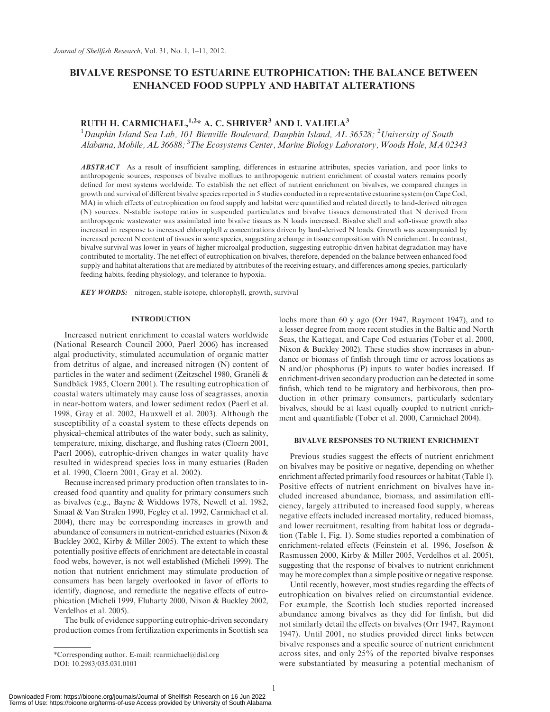### BIVALVE RESPONSE TO ESTUARINE EUTROPHICATION: THE BALANCE BETWEEN ENHANCED FOOD SUPPLY AND HABITAT ALTERATIONS

## RUTH H. CARMICHAEL, <sup>1,2\*</sup> A. C. SHRIVER<sup>3</sup> AND I. VALIELA<sup>3</sup>

<sup>1</sup>Dauphin Island Sea Lab, 101 Bienville Boulevard, Dauphin Island, AL 36528; <sup>2</sup>University of South Alabama, Mobile, AL 36688; <sup>3</sup>The Ecosystems Center, Marine Biology Laboratory, Woods Hole, MA 02343

ABSTRACT As a result of insufficient sampling, differences in estuarine attributes, species variation, and poor links to anthropogenic sources, responses of bivalve mollucs to anthropogenic nutrient enrichment of coastal waters remains poorly defined for most systems worldwide. To establish the net effect of nutrient enrichment on bivalves, we compared changes in growth and survival of different bivalve species reported in 5 studies conducted in a representative estuarine system (on Cape Cod, MA) in which effects of eutrophication on food supply and habitat were quantified and related directly to land-derived nitrogen (N) sources. N-stable isotope ratios in suspended particulates and bivalve tissues demonstrated that N derived from anthropogenic wastewater was assimilated into bivalve tissues as N loads increased. Bivalve shell and soft-tissue growth also increased in response to increased chlorophyll a concentrations driven by land-derived N loads. Growth was accompanied by increased percent N content of tissues in some species, suggesting a change in tissue composition with N enrichment. In contrast, bivalve survival was lower in years of higher microalgal production, suggesting eutrophic-driven habitat degradation may have contributed to mortality. The net effect of eutrophication on bivalves, therefore, depended on the balance between enhanced food supply and habitat alterations that are mediated by attributes of the receiving estuary, and differences among species, particularly feeding habits, feeding physiology, and tolerance to hypoxia.

KEY WORDS: nitrogen, stable isotope, chlorophyll, growth, survival

#### INTRODUCTION

Increased nutrient enrichment to coastal waters worldwide (National Research Council 2000, Paerl 2006) has increased algal productivity, stimulated accumulation of organic matter from detritus of algae, and increased nitrogen (N) content of particles in the water and sediment (Zeitzschel 1980, Granéli & Sundbäck 1985, Cloern 2001). The resulting eutrophication of coastal waters ultimately may cause loss of seagrasses, anoxia in near-bottom waters, and lower sediment redox (Paerl et al. 1998, Gray et al. 2002, Hauxwell et al. 2003). Although the susceptibility of a coastal system to these effects depends on physical–chemical attributes of the water body, such as salinity, temperature, mixing, discharge, and flushing rates (Cloern 2001, Paerl 2006), eutrophic-driven changes in water quality have resulted in widespread species loss in many estuaries (Baden et al. 1990, Cloern 2001, Gray et al. 2002).

Because increased primary production often translates to increased food quantity and quality for primary consumers such as bivalves (e.g., Bayne & Widdows 1978, Newell et al. 1982, Smaal & Van Stralen 1990, Fegley et al. 1992, Carmichael et al. 2004), there may be corresponding increases in growth and abundance of consumers in nutrient-enriched estuaries (Nixon & Buckley 2002, Kirby & Miller 2005). The extent to which these potentially positive effects of enrichment are detectable in coastal food webs, however, is not well established (Micheli 1999). The notion that nutrient enrichment may stimulate production of consumers has been largely overlooked in favor of efforts to identify, diagnose, and remediate the negative effects of eutrophication (Micheli 1999, Fluharty 2000, Nixon & Buckley 2002, Verdelhos et al. 2005).

The bulk of evidence supporting eutrophic-driven secondary production comes from fertilization experiments in Scottish sea lochs more than 60 y ago (Orr 1947, Raymont 1947), and to a lesser degree from more recent studies in the Baltic and North Seas, the Kattegat, and Cape Cod estuaries (Tober et al. 2000, Nixon & Buckley 2002). These studies show increases in abundance or biomass of finfish through time or across locations as N and/or phosphorus (P) inputs to water bodies increased. If enrichment-driven secondary production can be detected in some finfish, which tend to be migratory and herbivorous, then production in other primary consumers, particularly sedentary bivalves, should be at least equally coupled to nutrient enrichment and quantifiable (Tober et al. 2000, Carmichael 2004).

#### BIVALVE RESPONSES TO NUTRIENT ENRICHMENT

Previous studies suggest the effects of nutrient enrichment on bivalves may be positive or negative, depending on whether enrichment affected primarily food resources or habitat (Table 1). Positive effects of nutrient enrichment on bivalves have included increased abundance, biomass, and assimilation efficiency, largely attributed to increased food supply, whereas negative effects included increased mortality, reduced biomass, and lower recruitment, resulting from habitat loss or degradation (Table 1, Fig. 1). Some studies reported a combination of enrichment-related effects (Feinstein et al. 1996, Josefson & Rasmussen 2000, Kirby & Miller 2005, Verdelhos et al. 2005), suggesting that the response of bivalves to nutrient enrichment may be more complex than a simple positive or negative response.

Until recently, however, most studies regarding the effects of eutrophication on bivalves relied on circumstantial evidence. For example, the Scottish loch studies reported increased abundance among bivalves as they did for finfish, but did not similarly detail the effects on bivalves (Orr 1947, Raymont 1947). Until 2001, no studies provided direct links between bivalve responses and a specific source of nutrient enrichment across sites, and only 25% of the reported bivalve responses were substantiated by measuring a potential mechanism of

<sup>\*</sup>Corresponding author. E-mail: rcarmichael@disl.org DOI: 10.2983/035.031.0101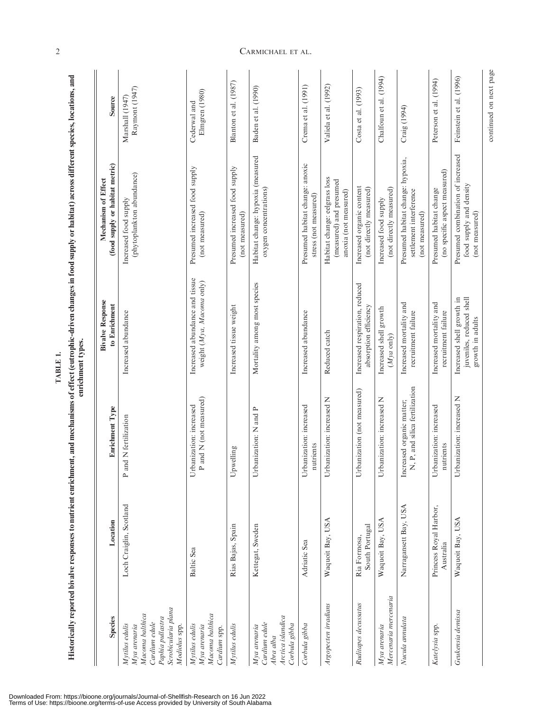| <b>Species</b>                                                                                                                 | Location                            | Enrichment Type                                             | <b>Bivalve Response</b><br>to Enrichment                                  | (food supply or habitat metric)<br>Mechanism of Effect                            | Source                            |
|--------------------------------------------------------------------------------------------------------------------------------|-------------------------------------|-------------------------------------------------------------|---------------------------------------------------------------------------|-----------------------------------------------------------------------------------|-----------------------------------|
| Scrobicularia plana<br>Macoma balthica<br>Paphia pullastra<br>Cardium edule<br>Mytilus edulis<br>Modiolus spp.<br>Mya arenaria | Loch Craiglin, Scotland             | and N fertilization<br>$\mathsf{p}$                         | Increased abundance                                                       | (phytoplankton abundance)<br>Increased food supply                                | Raymont (1947)<br>Marshall (1947) |
| Macoma balthica<br>Mytilus edulis<br>Mya arenaria<br>Cardium spp.                                                              | Baltic Sea                          | P and N (not measured)<br>Urbanization: increased           | Increased abundance and tissue<br>weight (Mya, Macoma only)               | Presumed increased food supply<br>(not measured)                                  | Elmgren (1980)<br>Cederwal and    |
| Mytilus edulis                                                                                                                 | Rías Bajas, Spain                   | Upwelling                                                   | Increased tissue weight                                                   | Presumed increased food supply<br>(not measured)                                  | Blanton et al. (1987)             |
| Arctica islandica<br>Cardium edule<br>Corbula gibba<br>Mya arenaria<br>Abra alba                                               | Kettegat, Sweden                    | Urbanization: N and P                                       | Mortality among most species                                              | Habitat change: hypoxia (measured<br>oxygen concentrations)                       | Baden et al. (1990)               |
| Corbula gibba                                                                                                                  | Adriatic Sea                        | Urbanization: increased<br>nutrients                        | Increased abundance                                                       | Presumed habitat change: anoxic<br>stress (not measured)                          | Crema et al. (1991)               |
| Argopecten irradians                                                                                                           | Waquoit Bay, USA                    | Z<br>Urbanization: increased                                | Reduced catch                                                             | Habitat change: eelgrass loss<br>(measured) and presumed<br>anoxia (not measured) | Valiela et al. (1992)             |
| Ruditapes decussatus                                                                                                           | South Portugal<br>Ria Formosa,      | Urbanization (not measured)                                 | Increased respiration, reduced<br>absorption efficiency                   | Increased organic content<br>(not directly measured)                              | Costa et al. (1993)               |
| Mercenaria mercenaria<br>Mya arenaria                                                                                          | Waquoit Bay, USA                    | Z<br>Urbanization: increased                                | Increased shell growth<br>$(Mya$ only)                                    | (not directly measured)<br>Increased food supply                                  | Chalfoun et al. (1994)            |
| Nucula annulata                                                                                                                | Narragansett Bay, USA               | N, P, and silica fertilization<br>Increased organic matter; | Increased mortality and<br>recruitment failure                            | Presumed habitat change: hypoxia,<br>settlement interference<br>(not measured)    | Craig (1994)                      |
| Katelysia spp.                                                                                                                 | Princess Royal Harbor,<br>Australia | Urbanization: increased<br>nutrients                        | Increased mortality and<br>recruitment failure                            | (no specific aspect measured)<br>Presumed habitat change                          | Peterson et al. (1994)            |
| Geukensia demissa                                                                                                              | Waquoit Bay, USA                    | Urbanization: increased N                                   | juveniles, reduced shell<br>Increased shell growth in<br>growth in adults | Presumed combination of increased<br>food supply and density<br>(not measured)    | Feinstein et al. (1996)           |
|                                                                                                                                |                                     |                                                             |                                                                           |                                                                                   | continued on next page            |

TABLE 1. TABLE 1.

or habitat) across different species, locations, and Historically reported bivalve responses to nutrient enrichment, and mechanisms of effect (eutrophic-driven changes in food supply or habitat) across different species, locations, and in food sunnly É of effect (entrophic driv ٦, doine ţ  $\ddot{r}$  $\frac{1}{3}$ a King -4 É

## 2 CARMICHAEL ET AL.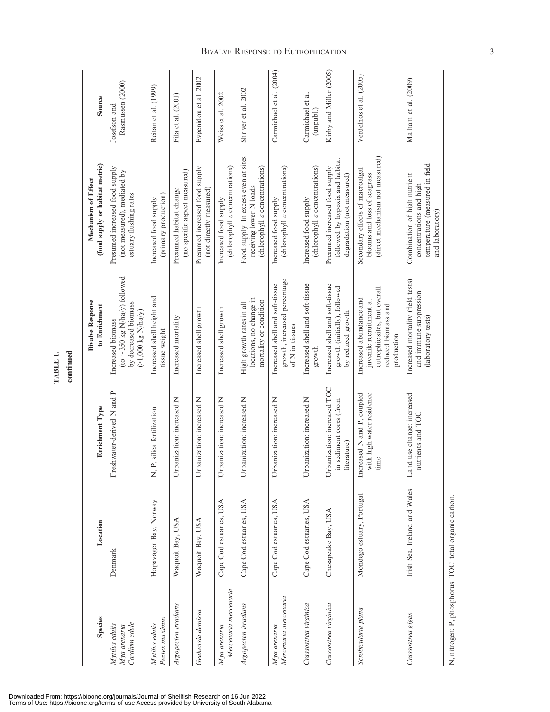| <b>Species</b>                                  | Location                     | Enrichment Type                                                       | <b>Bivalve Response</b><br>to Enrichment                                                                                | (food supply or habitat metric)<br>Mechanism of Effect                                                       | Source                           |
|-------------------------------------------------|------------------------------|-----------------------------------------------------------------------|-------------------------------------------------------------------------------------------------------------------------|--------------------------------------------------------------------------------------------------------------|----------------------------------|
| Cardium edule<br>Mytilus edulis<br>Mya arenaria | Denmark                      | Freshwater-derived N and P                                            | (to $\sim$ 350 kg N/ha/y) followed<br>by decreased biomass<br>$(>1,000 \text{ kg N/ha/y})$<br>Increased biomass         | Presumed increased food supply<br>(not measured), mediated by<br>estuary flushing rates                      | Rasmussen (2000)<br>Josefson and |
| Pecten maximus<br>Mytilus edulis                | Hopavagen Bay, Norway        | P, silica fertilization<br>Ż                                          | Increased shell height and<br>tissue weight                                                                             | (primary production)<br>Increased food supply                                                                | Reitan et al. (1999)             |
| Argopecten irradians                            | Waquoit Bay, USA             | banization: increased N<br>Ĕ                                          | Increased mortality                                                                                                     | (no specific aspect measured)<br>Presumed habitat change                                                     | Fila et al. (2001)               |
| Geukensia demissa                               | Waquoit Bay, USA             | banization: increased N<br>Ĕ                                          | Increased shell growth                                                                                                  | Presumed increased food supply<br>(not directly measured)                                                    | Evgenidou et al. 2002            |
| Mercenaria mercenaria<br>Mya arenaria           | Cape Cod estuaries, USA      | banization: increased N<br>Ĕ                                          | Increased shell growth                                                                                                  | (chlorophyll <i>a</i> concentrations)<br>Increased food supply                                               | Weiss et al. 2002                |
| Argopecten irradians                            | Cape Cod estuaries, USA      | Urbanization: increased N                                             | locations, no change in<br>mortality or condition<br>High growth rates in all                                           | Food supply: In excess even at sites<br>(chlorophyll a concentrations)<br>receiving lower N loads            | Shriver et al. 2002              |
| Mercenaria mercenaria<br>Mya arenaria           | Cape Cod estuaries, USA      | Urbanization: increased N                                             | growth, increased percentage<br>Increased shell and soft-tissue<br>of N in tissues                                      | (chlorophyll a concentrations)<br>Increased food supply                                                      | Carmichael et al. (2004)         |
| Crassostrea virginica                           | Cape Cod estuaries, USA      | banization: increased N<br>Ĕ                                          | Increased shell and soft-tissue<br>growth                                                                               | (chlorophyll a concentrations)<br>Increased food supply                                                      | Carmichael et al.<br>(unpubl.)   |
| Crassostrea virginica                           | Chesapeake Bay, USA          | Urbanization: increased TOC<br>in sediment cores (from<br>literature) | Increased shell and soft-tissue<br>growth (initially), followed<br>by reduced growth                                    | followed by hypoxia and habitat<br>Presumed increased food supply<br>degradation (not measured)              | Kirby and Miller (2005)          |
| Scrobicularia plana                             | Mondego estuary, Portugal    | Increased N and P, coupled<br>with high water residence<br>time       | eutrophic sites, but overall<br>Increased abundance and<br>juvenile recruitment at<br>reduced biomass and<br>production | (direct mechanism not measured)<br>Secondary effects of macroalgal<br>blooms and loss of seagrass            | Verdelhos et al. (2005)          |
| Crassostrea gigas                               | Irish Sea, Ireland and Wales | Land use change: increased<br>nutrients and TOC                       | Increased mortality (field tests)<br>and immune suppression<br>(laboratory tests)                                       | temperature (measured in field<br>Combination of high nutrient<br>concentrations and high<br>and laboratory) | Malham et al. (2009)             |

TABLE 1. TABLE 1.

continued continued

Downloaded From: https://bioone.org/journals/Journal-of-Shellfish-Research on 16 Jun 2022<br>Terms of Use: https://bioone.org/terms-of-use Access provided by University of South Alabama

### **BIVALVE RESPONSE TO EUTROPHICATION** 3

N, nitrogen; P, phosphorus; TOC, total organic carbon. N, nitrogen; P, phosphorus; TOC, total organic carbon.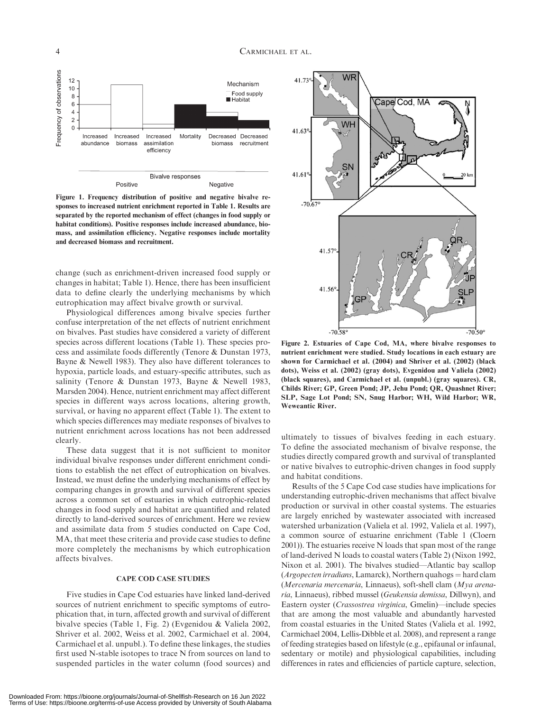

Figure 1. Frequency distribution of positive and negative bivalve responses to increased nutrient enrichment reported in Table 1. Results are separated by the reported mechanism of effect (changes in food supply or habitat conditions). Positive responses include increased abundance, biomass, and assimilation efficiency. Negative responses include mortality and decreased biomass and recruitment.

change (such as enrichment-driven increased food supply or changes in habitat; Table 1). Hence, there has been insufficient data to define clearly the underlying mechanisms by which eutrophication may affect bivalve growth or survival.

Physiological differences among bivalve species further confuse interpretation of the net effects of nutrient enrichment on bivalves. Past studies have considered a variety of different species across different locations (Table 1). These species process and assimilate foods differently (Tenore & Dunstan 1973, Bayne & Newell 1983). They also have different tolerances to hypoxia, particle loads, and estuary-specific attributes, such as salinity (Tenore & Dunstan 1973, Bayne & Newell 1983, Marsden 2004). Hence, nutrient enrichment may affect different species in different ways across locations, altering growth, survival, or having no apparent effect (Table 1). The extent to which species differences may mediate responses of bivalves to nutrient enrichment across locations has not been addressed clearly.

These data suggest that it is not sufficient to monitor individual bivalve responses under different enrichment conditions to establish the net effect of eutrophication on bivalves. Instead, we must define the underlying mechanisms of effect by comparing changes in growth and survival of different species across a common set of estuaries in which eutrophic-related changes in food supply and habitat are quantified and related directly to land-derived sources of enrichment. Here we review and assimilate data from 5 studies conducted on Cape Cod, MA, that meet these criteria and provide case studies to define more completely the mechanisms by which eutrophication affects bivalves.

#### CAPE COD CASE STUDIES

Five studies in Cape Cod estuaries have linked land-derived sources of nutrient enrichment to specific symptoms of eutrophication that, in turn, affected growth and survival of different bivalve species (Table 1, Fig. 2) (Evgenidou & Valiela 2002, Shriver et al. 2002, Weiss et al. 2002, Carmichael et al. 2004, Carmichael et al. unpubl.). To define these linkages, the studies first used N-stable isotopes to trace N from sources on land to suspended particles in the water column (food sources) and



Figure 2. Estuaries of Cape Cod, MA, where bivalve responses to nutrient enrichment were studied. Study locations in each estuary are shown for Carmichael et al. (2004) and Shriver et al. (2002) (black dots), Weiss et al. (2002) (gray dots), Evgenidou and Valiela (2002) (black squares), and Carmichael et al. (unpubl.) (gray squares). CR, Childs River; GP, Green Pond; JP, Jehu Pond; QR, Quashnet River; SLP, Sage Lot Pond; SN, Snug Harbor; WH, Wild Harbor; WR, Weweantic River.

ultimately to tissues of bivalves feeding in each estuary. To define the associated mechanism of bivalve response, the studies directly compared growth and survival of transplanted or native bivalves to eutrophic-driven changes in food supply and habitat conditions.

Results of the 5 Cape Cod case studies have implications for understanding eutrophic-driven mechanisms that affect bivalve production or survival in other coastal systems. The estuaries are largely enriched by wastewater associated with increased watershed urbanization (Valiela et al. 1992, Valiela et al. 1997), a common source of estuarine enrichment (Table 1 (Cloern 2001)). The estuaries receive N loads that span most of the range of land-derived N loads to coastal waters (Table 2) (Nixon 1992, Nixon et al. 2001). The bivalves studied—Atlantic bay scallop  $(Argopecten irradians, Lamarck), Northern quahogs = hard cham$ (Mercenaria mercenaria, Linnaeus), soft-shell clam (Mya arenaria, Linnaeus), ribbed mussel (Geukensia demissa, Dillwyn), and Eastern oyster (Crassostrea virginica, Gmelin)—include species that are among the most valuable and abundantly harvested from coastal estuaries in the United States (Valiela et al. 1992, Carmichael 2004, Lellis-Dibble et al. 2008), and represent a range of feeding strategies based on lifestyle (e.g., epifaunal or infaunal, sedentary or motile) and physiological capabilities, including differences in rates and efficiencies of particle capture, selection,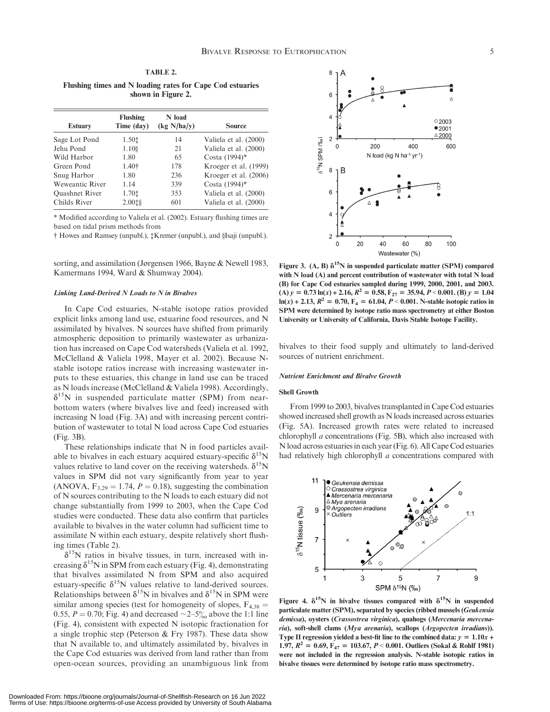TABLE 2. Flushing times and N loading rates for Cape Cod estuaries shown in Figure 2.

| <b>Estuary</b>        | Flushing<br>Time (day) | N load<br>(kg N/ha/y) | <b>Source</b>         |
|-----------------------|------------------------|-----------------------|-----------------------|
| Sage Lot Pond         | 1.501                  | 14                    | Valiela et al. (2000) |
| Jehu Pond             | 1.108                  | 21                    | Valiela et al. (2000) |
| Wild Harbor           | 1.80                   | 65                    | Costa (1994)*         |
| Green Pond            | 1.40 <sup>†</sup>      | 178                   | Kroeger et al. (1999) |
| Snug Harbor           | 1.80                   | 236                   | Kroeger et al. (2006) |
| Weweantic River       | 1.14                   | 339                   | Costa (1994)*         |
| <b>Quashnet River</b> | 1.701                  | 353                   | Valiela et al. (2000) |
| Childs River          | 2.0018                 | 601                   | Valiela et al. (2000) |
|                       |                        |                       |                       |

\* Modified according to Valiela et al. (2002). Estuary flushing times are based on tidal prism methods from

† Howes and Ramsey (unpubl.), ‡Kremer (unpubl.), and §Isaji (unpubl.).

sorting, and assimilation (Jørgensen 1966, Bayne & Newell 1983, Kamermans 1994, Ward & Shumway 2004).

#### Linking Land-Derived N Loads to N in Bivalves

In Cape Cod estuaries, N-stable isotope ratios provided explicit links among land use, estuarine food resources, and N assimilated by bivalves. N sources have shifted from primarily atmospheric deposition to primarily wastewater as urbanization has increased on Cape Cod watersheds (Valiela et al. 1992, McClelland & Valiela 1998, Mayer et al. 2002). Because Nstable isotope ratios increase with increasing wastewater inputs to these estuaries, this change in land use can be traced as N loads increase (McClelland & Valiela 1998). Accordingly,  $\delta^{15}$ N in suspended particulate matter (SPM) from nearbottom waters (where bivalves live and feed) increased with increasing N load (Fig. 3A) and with increasing percent contribution of wastewater to total N load across Cape Cod estuaries (Fig. 3B).

These relationships indicate that N in food particles available to bivalves in each estuary acquired estuary-specific  $\delta^{15}N$ values relative to land cover on the receiving watersheds.  $\delta^{15}N$ values in SPM did not vary significantly from year to year (ANOVA,  $F_3$ <sub>29</sub> = 1.74,  $P = 0.18$ ), suggesting the combination of N sources contributing to the N loads to each estuary did not change substantially from 1999 to 2003, when the Cape Cod studies were conducted. These data also confirm that particles available to bivalves in the water column had sufficient time to assimilate N within each estuary, despite relatively short flushing times (Table 2).

 $\delta^{15}$ N ratios in bivalve tissues, in turn, increased with increasing  $\delta^{15}N$  in SPM from each estuary (Fig. 4), demonstrating that bivalves assimilated N from SPM and also acquired estuary-specific  $\delta^{15}N$  values relative to land-derived sources. Relationships between  $\delta^{15}N$  in bivalves and  $\delta^{15}N$  in SPM were similar among species (test for homogeneity of slopes,  $F_{4,38}$  = 0.55,  $P = 0.70$ ; Fig. 4) and decreased  $\sim 2-5\%$  above the 1:1 line (Fig. 4), consistent with expected N isotopic fractionation for a single trophic step (Peterson & Fry 1987). These data show that N available to, and ultimately assimilated by, bivalves in the Cape Cod estuaries was derived from land rather than from open-ocean sources, providing an unambiguous link from



Figure 3. (A, B)  $\delta^{15}N$  in suspended particulate matter (SPM) compared with N load (A) and percent contribution of wastewater with total N load (B) for Cape Cod estuaries sampled during 1999, 2000, 2001, and 2003. (A)  $y = 0.73 \ln(x) + 2.16$ ,  $R^2 = 0.58$ ,  $F_{27} = 35.94$ ,  $P < 0.001$ . (B)  $y = 1.04$  $ln(x) + 2.13$ ,  $R^2 = 0.70$ ,  $F_4 = 61.04$ ,  $P < 0.001$ . N-stable isotopic ratios in SPM were determined by isotope ratio mass spectrometry at either Boston University or University of California, Davis Stable Isotope Facility.

bivalves to their food supply and ultimately to land-derived sources of nutrient enrichment.

#### Nutrient Enrichment and Bivalve Growth

#### Shell Growth

From 1999 to 2003, bivalves transplanted in Cape Cod estuaries showed increased shell growth as N loads increased across estuaries (Fig. 5A). Increased growth rates were related to increased chlorophyll a concentrations (Fig. 5B), which also increased with N load across estuaries in each year (Fig. 6). All Cape Cod estuaries had relatively high chlorophyll a concentrations compared with



Figure 4.  $\delta^{15}N$  in bivalve tissues compared with  $\delta^{15}N$  in suspended particulate matter (SPM), separated by species (ribbed mussels (Geukensia demissa), oysters (Crassostrea virginica), quahogs (Mercenaria mercenaria), soft-shell clams (Mya arenaria), scallops (Argopecten irradians)). Type II regression yielded a best-fit line to the combined data:  $y = 1.10x +$ 1.97,  $R^2 = 0.69$ ,  $F_{47} = 103.67$ ,  $P < 0.001$ . Outliers (Sokal & Rohlf 1981) were not included in the regression analysis. N-stable isotopic ratios in bivalve tissues were determined by isotope ratio mass spectrometry.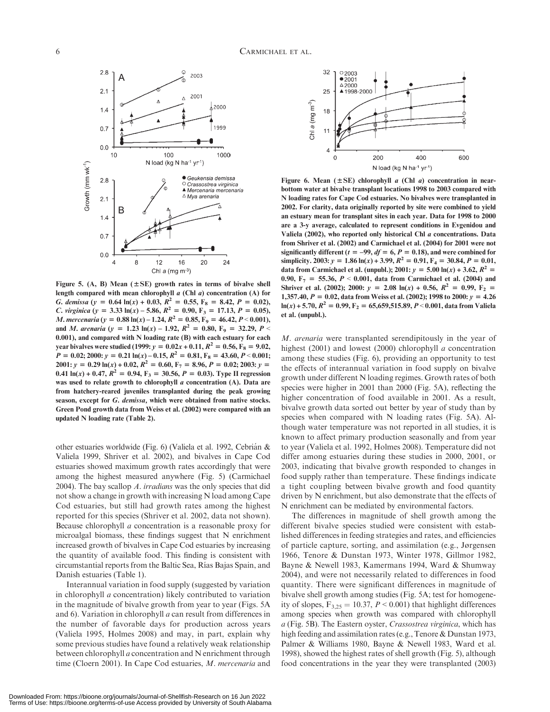

Figure 5. (A, B) Mean  $(\pm SE)$  growth rates in terms of bivalve shell length compared with mean chlorophyll  $a$  (Chl  $a$ ) concentration (A) for G. demissa (y = 0.64 ln(x) + 0.03,  $R^2 = 0.55$ ,  $F_8 = 8.42$ ,  $P = 0.02$ ), C. virginica (y = 3.33 ln(x) – 5.86,  $R^2 = 0.90$ , F<sub>3</sub> = 17.13, P = 0.05), *M. mercenaria* (y = 0.88 ln(x) – 1.24,  $R^2 = 0.85$ , F<sub>9</sub> = 46.42, P < 0.001), and *M. arenaria* (y = 1.23 ln(x) – 1.92,  $R^2 = 0.80$ ,  $F_9 = 32.29$ ,  $P <$ 0.001), and compared with N loading rate (B) with each estuary for each year bivalves were studied (1999:  $y = 0.02x + 0.11$ ,  $R^2 = 0.56$ ,  $F_8 = 9.02$ ,  $P = 0.02; 2000: y = 0.21 \ln(x) - 0.15, R^2 = 0.81, F_8 = 43.60, P < 0.001;$  $2001: y = 0.29 \ln(x) + 0.02$ ,  $R^2 = 0.60$ ,  $F_7 = 8.96$ ,  $P = 0.02$ ;  $2003: y =$ 0.41  $ln(x) + 0.47$ ,  $R^2 = 0.94$ ,  $F_3 = 30.56$ ,  $P = 0.03$ ). Type II regression was used to relate growth to chlorophyll a concentration (A). Data are from hatchery-reared juveniles transplanted during the peak growing season, except for G. demissa, which were obtained from native stocks. Green Pond growth data from Weiss et al. (2002) were compared with an updated N loading rate (Table 2).

other estuaries worldwide (Fig. 6) (Valiela et al. 1992, Cebrián & Valiela 1999, Shriver et al. 2002), and bivalves in Cape Cod estuaries showed maximum growth rates accordingly that were among the highest measured anywhere (Fig. 5) (Carmichael 2004). The bay scallop A. irradians was the only species that did not show a change in growth with increasing N load among Cape Cod estuaries, but still had growth rates among the highest reported for this species (Shriver et al. 2002, data not shown). Because chlorophyll a concentration is a reasonable proxy for microalgal biomass, these findings suggest that N enrichment increased growth of bivalves in Cape Cod estuaries by increasing the quantity of available food. This finding is consistent with circumstantial reports from the Baltic Sea, Rı´as Bajas Spain, and Danish estuaries (Table 1).

Interannual variation in food supply (suggested by variation in chlorophyll a concentration) likely contributed to variation in the magnitude of bivalve growth from year to year (Figs. 5A and 6). Variation in chlorophyll a can result from differences in the number of favorable days for production across years (Valiela 1995, Holmes 2008) and may, in part, explain why some previous studies have found a relatively weak relationship between chlorophyll a concentration and N enrichment through time (Cloern 2001). In Cape Cod estuaries, M. mercenaria and



Figure 6. Mean ( $\pm$ SE) chlorophyll a (Chl a) concentration in nearbottom water at bivalve transplant locations 1998 to 2003 compared with N loading rates for Cape Cod estuaries. No bivalves were transplanted in 2002. For clarity, data originally reported by site were combined to yield an estuary mean for transplant sites in each year. Data for 1998 to 2000 are a 3-y average, calculated to represent conditions in Evgenidou and Valiela (2002), who reported only historical Chl a concentrations. Data from Shriver et al. (2002) and Carmichael et al. (2004) for 2001 were not significantly different ( $t = -99$ ,  $df = 6$ ,  $P = 0.18$ ), and were combined for simplicity. 2003:  $y = 1.86 \ln(x) + 3.99$ ,  $R^2 = 0.91$ ,  $F_4 = 30.84$ ,  $P = 0.01$ , data from Carmichael et al. (unpubl.); 2001:  $y = 5.00 \ln(x) + 3.62$ ,  $R^2 =$ 0.90,  $F_7 = 55.36, P < 0.001$ , data from Carmichael et al. (2004) and Shriver et al. (2002); 2000:  $y = 2.08 \ln(x) + 0.56$ ,  $R^2 = 0.99$ ,  $F_2 =$ 1,357.40,  $P = 0.02$ , data from Weiss et al. (2002); 1998 to 2000:  $y = 4.26$  $ln(x) + 5.70$ ,  $R^2 = 0.99$ ,  $F_2 = 65,659,515.89$ ,  $P < 0.001$ , data from Valiela et al. (unpubl.).

M. arenaria were transplanted serendipitously in the year of highest (2001) and lowest (2000) chlorophyll *a* concentration among these studies (Fig. 6), providing an opportunity to test the effects of interannual variation in food supply on bivalve growth under different N loading regimes. Growth rates of both species were higher in 2001 than 2000 (Fig. 5A), reflecting the higher concentration of food available in 2001. As a result, bivalve growth data sorted out better by year of study than by species when compared with N loading rates (Fig. 5A). Although water temperature was not reported in all studies, it is known to affect primary production seasonally and from year to year (Valiela et al. 1992, Holmes 2008). Temperature did not differ among estuaries during these studies in 2000, 2001, or 2003, indicating that bivalve growth responded to changes in food supply rather than temperature. These findings indicate a tight coupling between bivalve growth and food quantity driven by N enrichment, but also demonstrate that the effects of N enrichment can be mediated by environmental factors.

The differences in magnitude of shell growth among the different bivalve species studied were consistent with established differences in feeding strategies and rates, and efficiencies of particle capture, sorting, and assimilation (e.g., Jørgensen 1966, Tenore & Dunstan 1973, Winter 1978, Gillmor 1982, Bayne & Newell 1983, Kamermans 1994, Ward & Shumway 2004), and were not necessarily related to differences in food quantity. There were significant differences in magnitude of bivalve shell growth among studies (Fig. 5A; test for homogeneity of slopes,  $F_{3,25} = 10.37$ ,  $P < 0.001$ ) that highlight differences among species when growth was compared with chlorophyll a (Fig. 5B). The Eastern oyster, Crassostrea virginica, which has high feeding and assimilation rates (e.g., Tenore & Dunstan 1973, Palmer & Williams 1980, Bayne & Newell 1983, Ward et al. 1998), showed the highest rates of shell growth (Fig. 5), although food concentrations in the year they were transplanted (2003)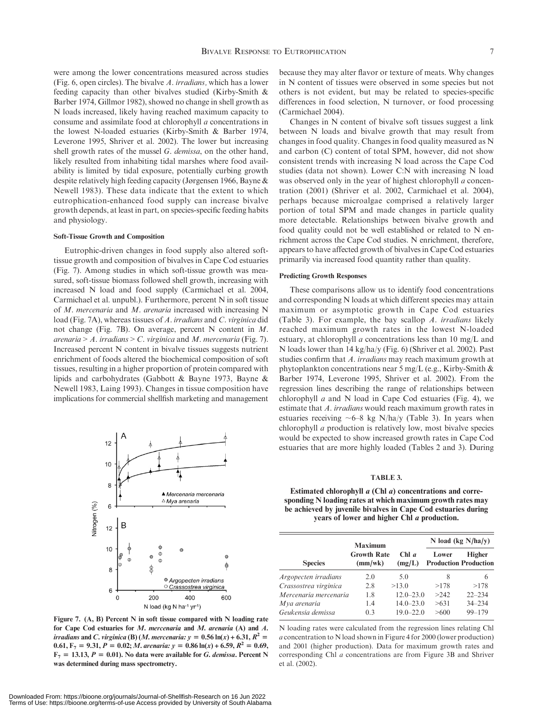were among the lower concentrations measured across studies (Fig. 6, open circles). The bivalve A. irradians, which has a lower feeding capacity than other bivalves studied (Kirby-Smith & Barber 1974, Gillmor 1982), showed no change in shell growth as N loads increased, likely having reached maximum capacity to consume and assimilate food at chlorophyll a concentrations in the lowest N-loaded estuaries (Kirby-Smith & Barber 1974, Leverone 1995, Shriver et al. 2002). The lower but increasing shell growth rates of the mussel G. demissa, on the other hand, likely resulted from inhabiting tidal marshes where food availability is limited by tidal exposure, potentially curbing growth despite relatively high feeding capacity (Jørgensen 1966, Bayne & Newell 1983). These data indicate that the extent to which eutrophication-enhanced food supply can increase bivalve growth depends, at least in part, on species-specific feeding habits and physiology.

#### Soft-Tissue Growth and Composition

Eutrophic-driven changes in food supply also altered softtissue growth and composition of bivalves in Cape Cod estuaries (Fig. 7). Among studies in which soft-tissue growth was measured, soft-tissue biomass followed shell growth, increasing with increased N load and food supply (Carmichael et al. 2004, Carmichael et al. unpubl.). Furthermore, percent N in soft tissue of M. mercenaria and M. arenaria increased with increasing N load (Fig. 7A), whereas tissues of A. irradians and C. virginica did not change (Fig. 7B). On average, percent N content in M. arenaria > A. irradians > C. virginica and M. mercenaria (Fig. 7). Increased percent N content in bivalve tissues suggests nutrient enrichment of foods altered the biochemical composition of soft tissues, resulting in a higher proportion of protein compared with lipids and carbohydrates (Gabbott & Bayne 1973, Bayne & Newell 1983, Laing 1993). Changes in tissue composition have implications for commercial shellfish marketing and management



Figure 7. (A, B) Percent N in soft tissue compared with N loading rate for Cape Cod estuaries for M. mercenaria and M. arenaria (A) and A. irradians and C. virginica (B) (M. mercenaria:  $y = 0.56 \ln(x) + 6.31$ ,  $R^2 =$ 0.61,  $F_7 = 9.31, P = 0.02; M.$  arenaria:  $y = 0.86 \ln(x) + 6.59, R^2 = 0.69,$  $F_7 = 13.13, P = 0.01$ ). No data were available for G. demissa. Percent N was determined during mass spectrometry.

because they may alter flavor or texture of meats. Why changes in N content of tissues were observed in some species but not others is not evident, but may be related to species-specific differences in food selection, N turnover, or food processing (Carmichael 2004).

Changes in N content of bivalve soft tissues suggest a link between N loads and bivalve growth that may result from changes in food quality. Changes in food quality measured as N and carbon (C) content of total SPM, however, did not show consistent trends with increasing N load across the Cape Cod studies (data not shown). Lower C:N with increasing N load was observed only in the year of highest chlorophyll *a* concentration (2001) (Shriver et al. 2002, Carmichael et al. 2004), perhaps because microalgae comprised a relatively larger portion of total SPM and made changes in particle quality more detectable. Relationships between bivalve growth and food quality could not be well established or related to N enrichment across the Cape Cod studies. N enrichment, therefore, appears to have affected growth of bivalves in Cape Cod estuaries primarily via increased food quantity rather than quality.

#### Predicting Growth Responses

These comparisons allow us to identify food concentrations and corresponding N loads at which different species may attain maximum or asymptotic growth in Cape Cod estuaries (Table 3). For example, the bay scallop A. irradians likely reached maximum growth rates in the lowest N-loaded estuary, at chlorophyll a concentrations less than 10 mg/L and N loads lower than 14 kg/ha/y (Fig. 6) (Shriver et al. 2002). Past studies confirm that A. irradians may reach maximum growth at phytoplankton concentrations near 5 mg/L (e.g., Kirby-Smith & Barber 1974, Leverone 1995, Shriver et al. 2002). From the regression lines describing the range of relationships between chlorophyll  $a$  and N load in Cape Cod estuaries (Fig. 4), we estimate that A. irradians would reach maximum growth rates in estuaries receiving  $\sim 6-8$  kg N/ha/y (Table 3). In years when chlorophyll a production is relatively low, most bivalve species would be expected to show increased growth rates in Cape Cod estuaries that are more highly loaded (Tables 2 and 3). During

#### TABLE 3.

Estimated chlorophyll a (Chl a) concentrations and corresponding N loading rates at which maximum growth rates may be achieved by juvenile bivalves in Cape Cod estuaries during years of lower and higher Chl a production.

|                       | <b>Maximum</b>                |                 | N load (kg $N/ha/y$ ) |                                        |  |
|-----------------------|-------------------------------|-----------------|-----------------------|----------------------------------------|--|
| <b>Species</b>        | <b>Growth Rate</b><br>(mm/wk) | Chl a<br>(mg/L) | Lower                 | Higher<br><b>Production Production</b> |  |
| Argopecten irradians  | 2.0                           | 5.0             | 8                     | 6                                      |  |
| Crassostrea virginica | 2.8                           | >13.0           | >178                  | >178                                   |  |
| Mercenaria mercenaria | 1.8                           | $12.0 - 23.0$   | >242                  | $22 - 234$                             |  |
| Mya arenaria          | 1.4                           | $14.0 - 23.0$   | >631                  | $34 - 234$                             |  |
| Geukensia demissa     | 0.3                           | $19.0 - 22.0$   | >600                  | $99 - 179$                             |  |

N loading rates were calculated from the regression lines relating Chl a concentration to N load shown in Figure 4 for 2000 (lower production) and 2001 (higher production). Data for maximum growth rates and corresponding Chl a concentrations are from Figure 3B and Shriver et al. (2002).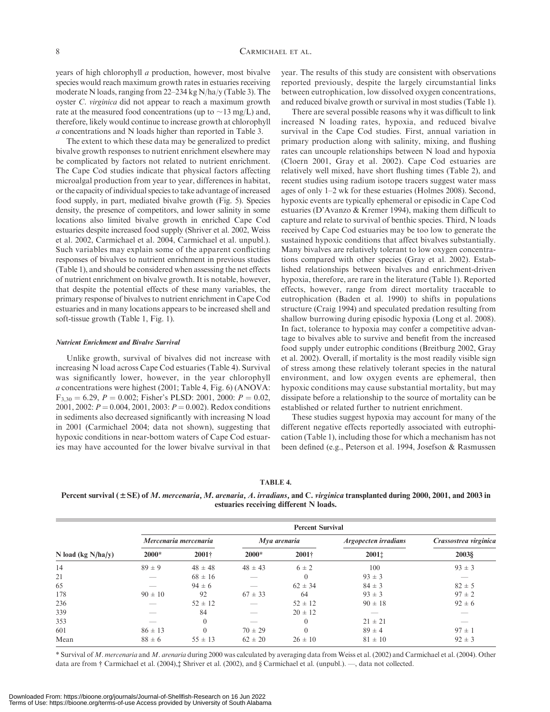years of high chlorophyll a production, however, most bivalve species would reach maximum growth rates in estuaries receiving moderate N loads, ranging from 22–234 kg N/ha/y (Table 3). The oyster C. virginica did not appear to reach a maximum growth rate at the measured food concentrations (up to  $\sim$ 13 mg/L) and, therefore, likely would continue to increase growth at chlorophyll a concentrations and N loads higher than reported in Table 3.

The extent to which these data may be generalized to predict bivalve growth responses to nutrient enrichment elsewhere may be complicated by factors not related to nutrient enrichment. The Cape Cod studies indicate that physical factors affecting microalgal production from year to year, differences in habitat, or the capacity of individual species to take advantage of increased food supply, in part, mediated bivalve growth (Fig. 5). Species density, the presence of competitors, and lower salinity in some locations also limited bivalve growth in enriched Cape Cod estuaries despite increased food supply (Shriver et al. 2002, Weiss et al. 2002, Carmichael et al. 2004, Carmichael et al. unpubl.). Such variables may explain some of the apparent conflicting responses of bivalves to nutrient enrichment in previous studies (Table 1), and should be considered when assessing the net effects of nutrient enrichment on bivalve growth. It is notable, however, that despite the potential effects of these many variables, the primary response of bivalves to nutrient enrichment in Cape Cod estuaries and in many locations appears to be increased shell and soft-tissue growth (Table 1, Fig. 1).

#### Nutrient Enrichment and Bivalve Survival

Unlike growth, survival of bivalves did not increase with increasing N load across Cape Cod estuaries (Table 4). Survival was significantly lower, however, in the year chlorophyll a concentrations were highest (2001; Table 4, Fig. 6) (ANOVA:  $F_{3,30} = 6.29, P = 0.002$ ; Fisher's PLSD: 2001, 2000:  $P = 0.02$ , 2001, 2002:  $P = 0.004$ , 2001, 2003:  $P = 0.002$ ). Redox conditions in sediments also decreased significantly with increasing N load in 2001 (Carmichael 2004; data not shown), suggesting that hypoxic conditions in near-bottom waters of Cape Cod estuaries may have accounted for the lower bivalve survival in that year. The results of this study are consistent with observations reported previously, despite the largely circumstantial links between eutrophication, low dissolved oxygen concentrations, and reduced bivalve growth or survival in most studies (Table 1).

There are several possible reasons why it was difficult to link increased N loading rates, hypoxia, and reduced bivalve survival in the Cape Cod studies. First, annual variation in primary production along with salinity, mixing, and flushing rates can uncouple relationships between N load and hypoxia (Cloern 2001, Gray et al. 2002). Cape Cod estuaries are relatively well mixed, have short flushing times (Table 2), and recent studies using radium isotope tracers suggest water mass ages of only 1–2 wk for these estuaries (Holmes 2008). Second, hypoxic events are typically ephemeral or episodic in Cape Cod estuaries (D'Avanzo & Kremer 1994), making them difficult to capture and relate to survival of benthic species. Third, N loads received by Cape Cod estuaries may be too low to generate the sustained hypoxic conditions that affect bivalves substantially. Many bivalves are relatively tolerant to low oxygen concentrations compared with other species (Gray et al. 2002). Established relationships between bivalves and enrichment-driven hypoxia, therefore, are rare in the literature (Table 1). Reported effects, however, range from direct mortality traceable to eutrophication (Baden et al. 1990) to shifts in populations structure (Craig 1994) and speculated predation resulting from shallow burrowing during episodic hypoxia (Long et al. 2008). In fact, tolerance to hypoxia may confer a competitive advantage to bivalves able to survive and benefit from the increased food supply under eutrophic conditions (Breitburg 2002, Gray et al. 2002). Overall, if mortality is the most readily visible sign of stress among these relatively tolerant species in the natural environment, and low oxygen events are ephemeral, then hypoxic conditions may cause substantial mortality, but may dissipate before a relationship to the source of mortality can be established or related further to nutrient enrichment.

These studies suggest hypoxia may account for many of the different negative effects reportedly associated with eutrophication (Table 1), including those for which a mechanism has not been defined (e.g., Peterson et al. 1994, Josefson & Rasmussen

#### TABLE 4.

Percent survival  $(\pm SE)$  of M. mercenaria, M. arenaria, A. irradians, and C. virginica transplanted during 2000, 2001, and 2003 in estuaries receiving different N loads.

|                       | <b>Percent Survival</b> |                       |             |              |                      |                       |  |
|-----------------------|-------------------------|-----------------------|-------------|--------------|----------------------|-----------------------|--|
|                       |                         | Mercenaria mercenaria |             | Mya arenaria | Argopecten irradians | Crassostrea virginica |  |
| N load (kg $N/ha/y$ ) | $2000*$                 | $2001 +$              | $2000*$     | $2001+$      | 20011                | 2003§                 |  |
| 14                    | $89 \pm 9$              | $48 \pm 48$           | $48 \pm 43$ | $6 \pm 2$    | 100                  | $93 \pm 3$            |  |
| 21                    |                         | $68 \pm 16$           |             | $\theta$     | $93 \pm 3$           |                       |  |
| 65                    |                         | $94 \pm 6$            |             | $62 \pm 34$  | $84 \pm 3$           | $82 \pm 5$            |  |
| 178                   | $90 \pm 10$             | 92                    | $67 \pm 33$ | 64           | $93 \pm 3$           | $97 \pm 2$            |  |
| 236                   |                         | $52 \pm 12$           |             | $52 \pm 12$  | $90 \pm 18$          | $92 \pm 6$            |  |
| 339                   |                         | 84                    |             | $20 \pm 12$  |                      |                       |  |
| 353                   |                         | $\Omega$              |             | $\theta$     | $21 \pm 21$          |                       |  |
| 601                   | $86 \pm 13$             |                       | $70 \pm 29$ | $\Omega$     | $89 \pm 4$           | $97 \pm 1$            |  |
| Mean                  | $88 \pm 6$              | $55 \pm 13$           | $62 \pm 20$ | $26 \pm 10$  | $81 \pm 10$          | $92 \pm 3$            |  |

\* Survival of M. mercenaria and M. arenaria during 2000 was calculated by averaging data from Weiss et al. (2002) and Carmichael et al. (2004). Other data are from † Carmichael et al. (2004),‡ Shriver et al. (2002), and § Carmichael et al. (unpubl.). —, data not collected.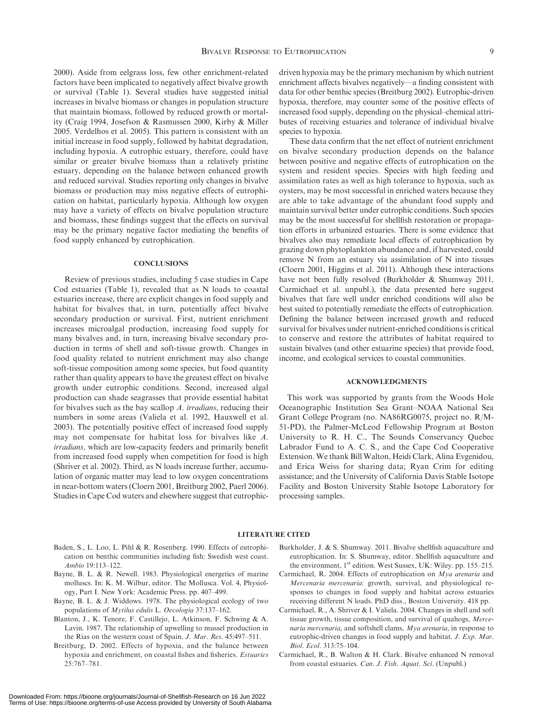2000). Aside from eelgrass loss, few other enrichment-related factors have been implicated to negatively affect bivalve growth or survival (Table 1). Several studies have suggested initial increases in bivalve biomass or changes in population structure that maintain biomass, followed by reduced growth or mortality (Craig 1994, Josefson & Rasmussen 2000, Kirby & Miller 2005. Verdelhos et al. 2005). This pattern is consistent with an initial increase in food supply, followed by habitat degradation, including hypoxia. A eutrophic estuary, therefore, could have similar or greater bivalve biomass than a relatively pristine estuary, depending on the balance between enhanced growth and reduced survival. Studies reporting only changes in bivalve biomass or production may miss negative effects of eutrophication on habitat, particularly hypoxia. Although low oxygen may have a variety of effects on bivalve population structure and biomass, these findings suggest that the effects on survival may be the primary negative factor mediating the benefits of food supply enhanced by eutrophication.

#### **CONCLUSIONS**

Review of previous studies, including 5 case studies in Cape Cod estuaries (Table 1), revealed that as N loads to coastal estuaries increase, there are explicit changes in food supply and habitat for bivalves that, in turn, potentially affect bivalve secondary production or survival. First, nutrient enrichment increases microalgal production, increasing food supply for many bivalves and, in turn, increasing bivalve secondary production in terms of shell and soft-tissue growth. Changes in food quality related to nutrient enrichment may also change soft-tissue composition among some species, but food quantity rather than quality appears to have the greatest effect on bivalve growth under eutrophic conditions. Second, increased algal production can shade seagrasses that provide essential habitat for bivalves such as the bay scallop A. irradians, reducing their numbers in some areas (Valiela et al. 1992, Hauxwell et al. 2003). The potentially positive effect of increased food supply may not compensate for habitat loss for bivalves like A. irradians, which are low-capacity feeders and primarily benefit from increased food supply when competition for food is high (Shriver et al. 2002). Third, as N loads increase further, accumulation of organic matter may lead to low oxygen concentrations in near-bottom waters (Cloern 2001, Breitburg 2002, Paerl 2006). Studies in Cape Cod waters and elsewhere suggest that eutrophicdriven hypoxia may be the primary mechanism by which nutrient enrichment affects bivalves negatively—a finding consistent with data for other benthic species (Breitburg 2002). Eutrophic-driven hypoxia, therefore, may counter some of the positive effects of increased food supply, depending on the physical–chemical attributes of receiving estuaries and tolerance of individual bivalve species to hypoxia.

These data confirm that the net effect of nutrient enrichment on bivalve secondary production depends on the balance between positive and negative effects of eutrophication on the system and resident species. Species with high feeding and assimilation rates as well as high tolerance to hypoxia, such as oysters, may be most successful in enriched waters because they are able to take advantage of the abundant food supply and maintain survival better under eutrophic conditions. Such species may be the most successful for shellfish restoration or propagation efforts in urbanized estuaries. There is some evidence that bivalves also may remediate local effects of eutrophication by grazing down phytoplankton abundance and, if harvested, could remove N from an estuary via assimilation of N into tissues (Cloern 2001, Higgins et al. 2011). Although these interactions have not been fully resolved (Burkholder & Shumway 2011, Carmichael et al. unpubl.), the data presented here suggest bivalves that fare well under enriched conditions will also be best suited to potentially remediate the effects of eutrophication. Defining the balance between increased growth and reduced survival for bivalves under nutrient-enriched conditions is critical to conserve and restore the attributes of habitat required to sustain bivalves (and other estuarine species) that provide food, income, and ecological services to coastal communities.

#### ACKNOWLEDGMENTS

This work was supported by grants from the Woods Hole Oceanographic Institution Sea Grant–NOAA National Sea Grant College Program (no. NA86RG0075, project no. R/M-51-PD), the Palmer-McLeod Fellowship Program at Boston University to R. H. C., The Sounds Conservancy Quebec Labrador Fund to A. C. S., and the Cape Cod Cooperative Extension. We thank Bill Walton, Heidi Clark, Alina Evgenidou, and Erica Weiss for sharing data; Ryan Crim for editing assistance; and the University of California Davis Stable Isotope Facility and Boston University Stable Isotope Laboratory for processing samples.

#### LITERATURE CITED

- Baden, S., L. Loo, L. Pihl & R. Rosenberg. 1990. Effects of eutrophication on benthic communities including fish: Swedish west coast. Ambio 19:113–122.
- Bayne, B. L. & R. Newell. 1983. Physiological energetics of marine molluscs. In: K. M. Wilbur, editor. The Mollusca. Vol. 4, Physiology, Part I. New York: Academic Press. pp. 407–499.
- Bayne, B. L. & J. Widdows. 1978. The physiological ecology of two populations of Mytilus edulis L. Oecologia 37:137–162.
- Blanton, J., K. Tenore, F. Castillejo, L. Atkinson, F. Schwing & A. Lavin. 1987. The relationship of upwelling to mussel production in the Rias on the western coast of Spain. J. Mar. Res. 45:497–511.
- Breitburg, D. 2002. Effects of hypoxia, and the balance between hypoxia and enrichment, on coastal fishes and fisheries. Estuaries 25:767–781.
- Burkholder, J. & S. Shumway. 2011. Bivalve shellfish aquaculture and eutrophication. In: S. Shumway, editor. Shellfish aquaculture and the environment, 1<sup>st</sup> edition. West Sussex, UK: Wiley. pp. 155–215.
- Carmichael, R. 2004. Effects of eutrophication on Mya arenaria and Mercenaria mercenaria: growth, survival, and physiological responses to changes in food supply and habitat across estuaries receiving different N loads. PhD diss., Boston University. 418 pp.
- Carmichael, R., A. Shriver & I. Valiela. 2004. Changes in shell and soft tissue growth, tissue composition, and survival of quahogs, Mercenaria mercenaria, and softshell clams, Mya arenaria, in response to eutrophic-driven changes in food supply and habitat. J. Exp. Mar. Biol. Ecol. 313:75–104.
- Carmichael, R., B. Walton & H. Clark. Bivalve enhanced N removal from coastal estuaries. Can. J. Fish. Aquat. Sci. (Unpubl.)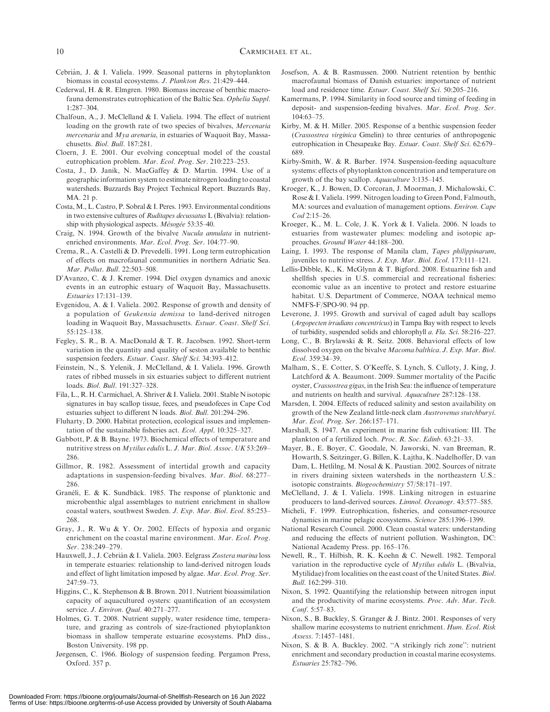- Cebria´n, J. & I. Valiela. 1999. Seasonal patterns in phytoplankton biomass in coastal ecosystems. J. Plankton Res. 21:429–444.
- Cederwal, H. & R. Elmgren. 1980. Biomass increase of benthic macrofauna demonstrates eutrophication of the Baltic Sea. Ophelia Suppl. 1:287–304.
- Chalfoun, A., J. McClelland & I. Valiela. 1994. The effect of nutrient loading on the growth rate of two species of bivalves, Mercenaria mercenaria and Mya arenaria, in estuaries of Waquoit Bay, Massachusetts. Biol. Bull. 187:281.
- Cloern, J. E. 2001. Our evolving conceptual model of the coastal eutrophication problem. Mar. Ecol. Prog. Ser. 210:223–253.
- Costa, J., D. Janik, N. MacGaffey & D. Martin. 1994. Use of a geographic information system to estimate nitrogen loading to coastal watersheds. Buzzards Bay Project Technical Report. Buzzards Bay, MA. 21 p.
- Costa, M., L. Castro, P. Sobral & I. Peres. 1993. Environmental conditions in two extensive cultures of Ruditapes decussatus L (Bivalvia): relationship with physiological aspects. Mésogée 53:35–40.
- Craig, N. 1994. Growth of the bivalve Nucula annulata in nutrientenriched environments. Mar. Ecol. Prog. Ser. 104:77–90.
- Crema, R., A. Castelli & D. Prevedelli. 1991. Long term eutrophication of effects on macrofaunal communities in northern Adriatic Sea. Mar. Pollut. Bull. 22:503–508.
- D'Avanzo, C. & J. Kremer. 1994. Diel oxygen dynamics and anoxic events in an eutrophic estuary of Waquoit Bay, Massachusetts. Estuaries 17:131–139.
- Evgenidou, A. & I. Valiela. 2002. Response of growth and density of a population of Geukensia demissa to land-derived nitrogen loading in Waquoit Bay, Massachusetts. Estuar. Coast. Shelf Sci. 55:125–138.
- Fegley, S. R., B. A. MacDonald & T. R. Jacobsen. 1992. Short-term variation in the quantity and quality of seston available to benthic suspension feeders. Estuar. Coast. Shelf Sci. 34:393–412.
- Feinstein, N., S. Yelenik, J. McClelland, & I. Valiela. 1996. Growth rates of ribbed mussels in six estuaries subject to different nutrient loads. Biol. Bull. 191:327–328.
- Fila, L., R. H. Carmichael, A. Shriver & I. Valiela. 2001. Stable N isotopic signatures in bay scallop tissue, feces, and pseudofeces in Cape Cod estuaries subject to different N loads. Biol. Bull. 201:294–296.
- Fluharty, D. 2000. Habitat protection, ecological issues and implementation of the sustainable fisheries act. Ecol. Appl. 10:325–327.
- Gabbott, P. & B. Bayne. 1973. Biochemical effects of temperature and nutritive stress on Mytilus edulis L. J. Mar. Biol. Assoc. UK 53:269– 286.
- Gillmor, R. 1982. Assessment of intertidal growth and capacity adaptations in suspension-feeding bivalves. Mar. Biol. 68:277– 286.
- Granéli, E. & K. Sundbäck. 1985. The response of planktonic and microbenthic algal assemblages to nutrient enrichment in shallow coastal waters, southwest Sweden. J. Exp. Mar. Biol. Ecol. 85:253– 268.
- Gray, J., R. Wu & Y. Or. 2002. Effects of hypoxia and organic enrichment on the coastal marine environment. Mar. Ecol. Prog. Ser. 238:249–279.
- Hauxwell, J., J. Cebrián & I. Valiela. 2003. Eelgrass Zostera marina loss in temperate estuaries: relationship to land-derived nitrogen loads and effect of light limitation imposed by algae. Mar. Ecol. Prog. Ser. 247:59–73.
- Higgins, C., K. Stephenson & B. Brown. 2011. Nutrient bioassimilation capacity of aquacultured oysters: quantification of an ecosystem service. *J. Environ. Qual.* 40:271-277.
- Holmes, G. T. 2008. Nutrient supply, water residence time, temperature, and grazing as controls of size-fractioned phytoplankton biomass in shallow temperate estuarine ecosystems. PhD diss., Boston University. 198 pp.
- Jørgensen, C. 1966. Biology of suspension feeding. Pergamon Press, Oxford. 357 p.
- Josefson, A. & B. Rasmussen. 2000. Nutrient retention by benthic macrofaunal biomass of Danish estuaries: importance of nutrient load and residence time. Estuar. Coast. Shelf Sci. 50:205–216.
- Kamermans, P. 1994. Similarity in food source and timing of feeding in deposit- and suspension-feeding bivalves. Mar. Ecol. Prog. Ser.  $104.63 - 75$ .
- Kirby, M. & H. Miller. 2005. Response of a benthic suspension feeder (Crassostrea virginica Gmelin) to three centuries of anthropogenic eutrophication in Chesapeake Bay. Estuar. Coast. Shelf Sci. 62:679– 689.
- Kirby-Smith, W. & R. Barber. 1974. Suspension-feeding aquaculture systems: effects of phytoplankton concentration and temperature on growth of the bay scallop. Aquaculture 3:135–145.
- Kroeger, K., J. Bowen, D. Corcoran, J. Moorman, J. Michalowski, C. Rose & I. Valiela. 1999. Nitrogen loading to Green Pond, Falmouth, MA: sources and evaluation of management options. Environ. Cape Cod 2:15–26.
- Kroeger, K., M. L. Cole, J. K. York & I. Valiela. 2006. N loads to estuaries from wastewater plumes: modeling and isotopic approaches. Ground Water 44:188–200.
- Laing, I. 1993. The response of Manila clam, Tapes philippinarum, juveniles to nutritive stress. J. Exp. Mar. Biol. Ecol. 173:111–121.
- Lellis-Dibble, K., K. McGlynn & T. Bigford. 2008. Estuarine fish and shellfish species in U.S. commercial and recreational fisheries: economic value as an incentive to protect and restore estuarine habitat. U.S. Department of Commerce, NOAA technical memo NMFS-F/SPO-90. 94 pp.
- Leverone, J. 1995. Growth and survival of caged adult bay scallops (Argopecten irradians concentricus) in Tampa Bay with respect to levels of turbidity, suspended solids and chlorophyll a. Fla. Sci. 58:216–227.
- Long, C., B. Brylawski & R. Seitz. 2008. Behavioral effects of low dissolved oxygen on the bivalve Macoma balthica. J. Exp. Mar. Biol. Ecol. 359:34–39.
- Malham, S., E. Cotter, S. O'Keeffe, S. Lynch, S. Culloty, J. King, J. Latchford & A. Beaumont. 2009. Summer mortality of the Pacific oyster, Crassostrea gigas, in the Irish Sea: the influence of temperature and nutrients on health and survival. Aquaculture 287:128–138.
- Marsden, I. 2004. Effects of reduced salinity and seston availability on growth of the New Zealand little-neck clam Austrovenus stutchburyi. Mar. Ecol. Prog. Ser. 266:157–171.
- Marshall, S. 1947. An experiment in marine fish cultivation: III. The plankton of a fertilized loch. Proc. R. Soc. Edinb. 63:21–33.
- Mayer, B., E. Boyer, C. Goodale, N. Jaworski, N. van Breeman, R. Howarth, S. Seitzinger, G. Billen, K. Lajtha, K. Nadelhoffer, D. van Dam, L. Hetlilng, M. Nosal & K. Paustian. 2002. Sources of nitrate in rivers draining sixteen watersheds in the northeastern U.S.: isotopic constraints. Biogeochemistry 57/58:171–197.
- McClelland, J. & I. Valiela. 1998. Linking nitrogen in estuarine producers to land-derived sources. Limnol. Oceanogr. 43:577–585.
- Micheli, F. 1999. Eutrophication, fisheries, and consumer-resource dynamics in marine pelagic ecosystems. Science 285:1396–1399.
- National Research Council. 2000. Clean coastal waters: understanding and reducing the effects of nutrient pollution. Washington, DC: National Academy Press. pp. 165–176.
- Newell, R., T. Hilbish, R. K. Koehn & C. Newell. 1982. Temporal variation in the reproductive cycle of Mytilus edulis L. (Bivalvia, Mytilidae) from localities on the east coast of the United States. Biol. Bull. 162:299–310.
- Nixon, S. 1992. Quantifying the relationship between nitrogen input and the productivity of marine ecosystems. Proc. Adv. Mar. Tech. Conf. 5:57–83.
- Nixon, S., B. Buckley, S. Granger & J. Bintz. 2001. Responses of very shallow marine ecosystems to nutrient enrichment. Hum. Ecol. Risk Assess. 7:1457–1481.
- Nixon, S. & B. A. Buckley. 2002. "A strikingly rich zone": nutrient enrichment and secondary production in coastal marine ecosystems. Estuaries 25:782–796.